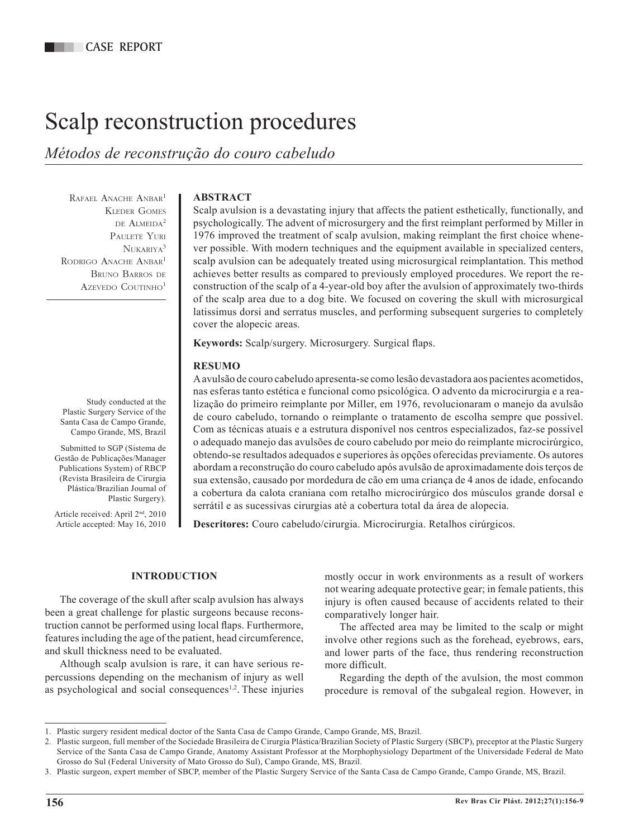# Scalp reconstruction procedures

*Métodos de reconstrução do couro cabeludo*

RAFAEL ANACHE ANBAR<sup>1</sup> Kleder Gomes de Almeida2 Paulete Yuri  $N$ UKARIYA<sup>3</sup> RODRIGO ANACHE ANBAR<sup>1</sup> Bruno Barros de AZEVEDO COUTINHO<sup>1</sup>

Study conducted at the Plastic Surgery Service of the Santa Casa de Campo Grande, Campo Grande, MS, Brazil

Submitted to SGP (Sistema de Gestão de Publicações/Manager Publications System) of RBCP (Revista Brasileira de Cirurgia Plástica/Brazilian Journal of Plastic Surgery).

Article received: April 2nd, 2010 Article accepted: May 16, 2010

# **ABSTRACT**

Scalp avulsion is a devastating injury that affects the patient esthetically, functionally, and psychologically. The advent of microsurgery and the first reimplant performed by Miller in 1976 improved the treatment of scalp avulsion, making reimplant the first choice whenever possible. With modern techniques and the equipment available in specialized centers, scalp avulsion can be adequately treated using microsurgical reimplantation. This method achieves better results as compared to previously employed procedures. We report the reconstruction of the scalp of a 4-year-old boy after the avulsion of approximately two-thirds of the scalp area due to a dog bite. We focused on covering the skull with microsurgical latissimus dorsi and serratus muscles, and performing subsequent surgeries to completely cover the alopecic areas.

**Keywords:** Scalp/surgery. Microsurgery. Surgical flaps.

# **RESUMO**

A avulsão de couro cabeludo apresenta-se como lesão devastadora aos pacientes acometidos, nas esferas tanto estética e funcional como psicológica. O advento da microcirurgia e a rea lização do primeiro reimplante por Miller, em 1976, revolucionaram o manejo da avulsão de couro cabeludo, tornando o reimplante o tratamento de escolha sempre que possível. Com as técnicas atuais e a estrutura disponível nos centros especializados, faz-se possível o adequado manejo das avulsões de couro cabeludo por meio do reimplante microcirúrgico, obtendo-se resultados adequados e superiores às opções oferecidas previamente. Os autores abordam a reconstrução do couro cabeludo após avulsão de aproximadamente dois terços de sua extensão, causado por mordedura de cão em uma criança de 4 anos de idade, enfocando a cobertura da calota craniana com retalho microcirúrgico dos músculos grande dorsal e serrátil e as sucessivas cirurgias até a cobertura total da área de alopecia.

**Descritores:** Couro cabeludo/cirurgia. Microcirurgia. Retalhos cirúrgicos.

# **INTRODUCTION**

The coverage of the skull after scalp avulsion has always been a great challenge for plastic surgeons because reconstruction cannot be performed using local flaps. Furthermore, features including the age of the patient, head circumference, and skull thickness need to be evaluated.

Although scalp avulsion is rare, it can have serious re percussions depending on the mechanism of injury as well as psychological and social consequences<sup>1,2</sup>. These injuries mostly occur in work environments as a result of workers not wearing adequate protective gear; in female patients, this injury is often caused because of accidents related to their comparatively longer hair.

The affected area may be limited to the scalp or might involve other regions such as the forehead, eyebrows, ears, and lower parts of the face, thus rendering reconstruction more difficult.

Regarding the depth of the avulsion, the most common procedure is removal of the subgaleal region. However, in

<sup>1.</sup> Plastic surgery resident medical doctor of the Santa Casa de Campo Grande, Campo Grande, MS, Brazil.

<sup>2.</sup> Plastic surgeon, full member of the Sociedade Brasileira de Cirurgia Plástica/Brazilian Society of Plastic Surgery (SBCP), preceptor at the Plastic Surgery Service of the Santa Casa de Campo Grande, Anatomy Assistant Professor at the Morphophysiology Department of the Universidade Federal de Mato Grosso do Sul (Federal University of Mato Grosso do Sul), Campo Grande, MS, Brazil.

<sup>3.</sup> Plastic surgeon, expert member of SBCP, member of the Plastic Surgery Service of the Santa Casa de Campo Grande, Campo Grande, MS, Brazil.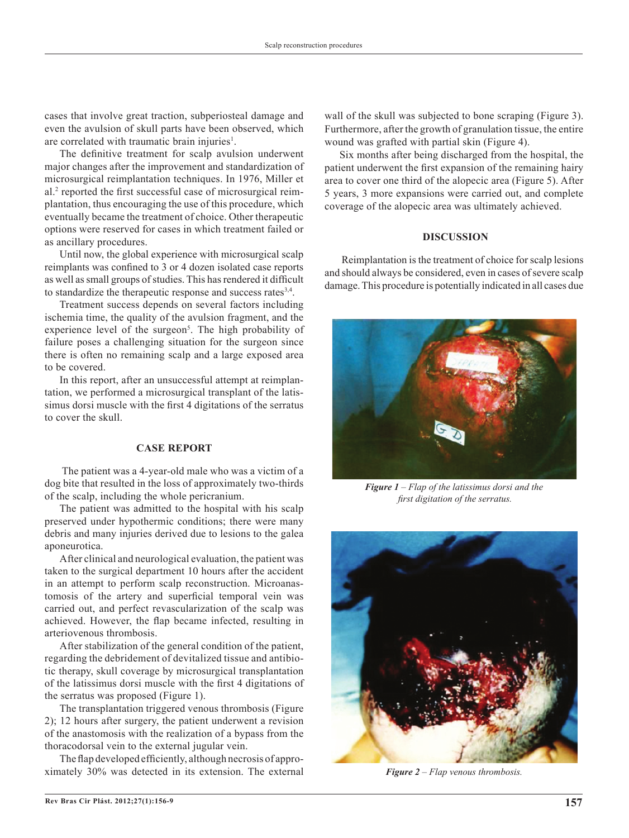cases that involve great traction, subperiosteal damage and even the avulsion of skull parts have been observed, which are correlated with traumatic brain injuries<sup>1</sup>.

The definitive treatment for scalp avulsion underwent major changes after the improvement and standardization of microsurgical reimplantation techniques. In 1976, Miller et al.2 reported the first successful case of microsurgical reimplantation, thus encouraging the use of this procedure, which eventually became the treatment of choice. Other therapeutic options were reserved for cases in which treatment failed or as ancillary procedures.

Until now, the global experience with microsurgical scalp reimplants was confined to 3 or 4 dozen isolated case reports as well as small groups of studies. This has rendered it difficult to standardize the therapeutic response and success rates<sup>3,4</sup>.

Treatment success depends on several factors including ischemia time, the quality of the avulsion fragment, and the experience level of the surgeon<sup>5</sup>. The high probability of failure poses a challenging situation for the surgeon since there is often no remaining scalp and a large exposed area to be covered.

In this report, after an unsuccessful attempt at reimplantation, we performed a microsurgical transplant of the latissimus dorsi muscle with the first 4 digitations of the serratus to cover the skull.

### **CASE REPORT**

The patient was a 4-year-old male who was a victim of a dog bite that resulted in the loss of approximately two-thirds of the scalp, including the whole pericranium.

The patient was admitted to the hospital with his scalp preserved under hypothermic conditions; there were many debris and many injuries derived due to lesions to the galea aponeurotica.

After clinical and neurological evaluation, the patient was taken to the surgical department 10 hours after the accident in an attempt to perform scalp reconstruction. Microanastomosis of the artery and superficial temporal vein was carried out, and perfect revascularization of the scalp was achieved. However, the flap became infected, resulting in arteriovenous thrombosis.

After stabilization of the general condition of the patient, regarding the debridement of devitalized tissue and antibio tic therapy, skull coverage by microsurgical transplantation of the latissimus dorsi muscle with the first 4 digitations of the serratus was proposed (Figure 1).

The transplantation triggered venous thrombosis (Figure 2); 12 hours after surgery, the patient underwent a revision of the anastomosis with the realization of a bypass from the thoracodorsal vein to the external jugular vein.

The flap developed efficiently, although necrosis of approximately 30% was detected in its extension. The external wall of the skull was subjected to bone scraping (Figure 3). Furthermore, after the growth of granulation tissue, the entire wound was grafted with partial skin (Figure 4).

Six months after being discharged from the hospital, the patient underwent the first expansion of the remaining hairy area to cover one third of the alopecic area (Figure 5). After 5 years, 3 more expansions were carried out, and complete coverage of the alopecic area was ultimately achieved.

### **DISCUSSION**

Reimplantation is the treatment of choice for scalp lesions and should always be considered, even in cases of severe scalp damage. This procedure is potentially indicated in all cases due



*Figure 1 – Flap of the latissimus dorsi and the first digitation of the serratus.*



*Figure 2 – Flap venous thrombosis.*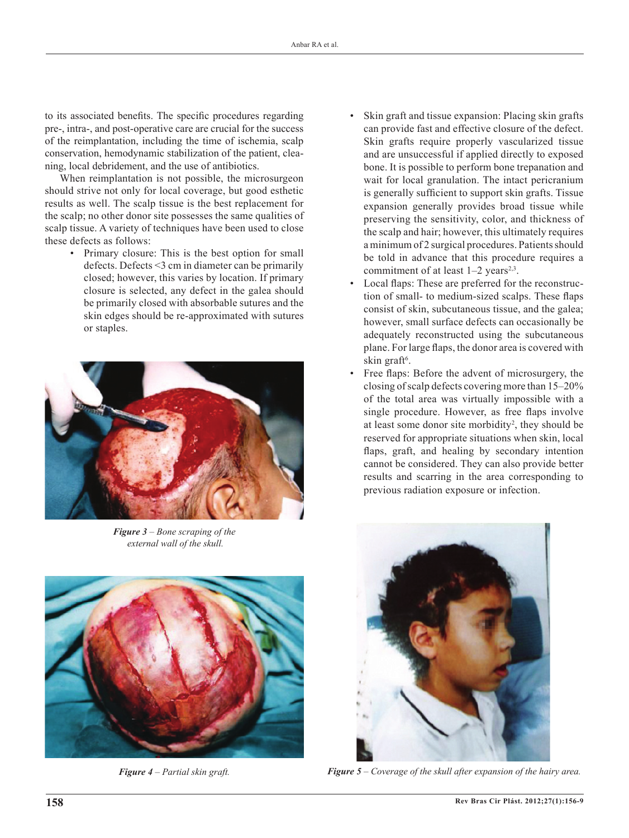to its associated benefits. The specific procedures regarding pre-, intra-, and post-operative care are crucial for the success of the reimplantation, including the time of ischemia, scalp conservation, hemodynamic stabilization of the patient, cleaning, local debridement, and the use of antibiotics.

When reimplantation is not possible, the microsurgeon should strive not only for local coverage, but good esthetic results as well. The scalp tissue is the best replacement for the scalp; no other donor site possesses the same qualities of scalp tissue. A variety of techniques have been used to close these defects as follows:

• Primary closure: This is the best option for small defects. Defects <3 cm in diameter can be primarily closed; however, this varies by location. If primary closure is selected, any defect in the galea should be primarily closed with absorbable sutures and the skin edges should be re-approximated with sutures or staples.



*Figure 3 – Bone scraping of the external wall of the skull.*



- Skin graft and tissue expansion: Placing skin grafts can provide fast and effective closure of the defect. Skin grafts require properly vascularized tissue and are unsuccessful if applied directly to exposed bone. It is possible to perform bone trepanation and wait for local granulation. The intact pericranium is generally sufficient to support skin grafts. Tissue expansion generally provides broad tissue while preserving the sensitivity, color, and thickness of the scalp and hair; however, this ultimately requires a minimum of 2 surgical procedures. Patients should be told in advance that this procedure requires a commitment of at least  $1-2$  years<sup>2,3</sup>.
- Local flaps: These are preferred for the reconstruction of small- to medium-sized scalps. These flaps consist of skin, subcutaneous tissue, and the galea; however, small surface defects can occasionally be adequately reconstructed using the subcutaneous plane. For large flaps, the donor area is covered with skin graft<sup>6</sup>.
- Free flaps: Before the advent of microsurgery, the closing of scalp defects covering more than 15–20% of the total area was virtually impossible with a single procedure. However, as free flaps involve at least some donor site morbidity<sup>2</sup>, they should be reserved for appropriate situations when skin, local flaps, graft, and healing by secondary intention cannot be considered. They can also provide better results and scarring in the area corresponding to previous radiation exposure or infection.



*Figure 4 – Partial skin graft. Figure 5 – Coverage of the skull after expansion of the hairy area.*